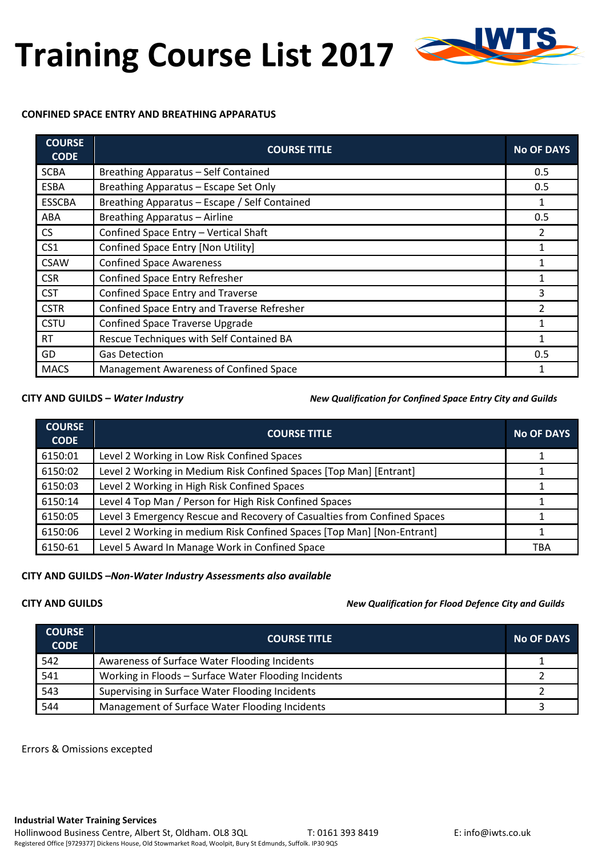# **Training Course List 2017**



#### **CONFINED SPACE ENTRY AND BREATHING APPARATUS**

| <b>COURSE</b><br><b>CODE</b> | <b>COURSE TITLE</b>                           | <b>No OF DAYS</b> |
|------------------------------|-----------------------------------------------|-------------------|
| <b>SCBA</b>                  | Breathing Apparatus - Self Contained          | 0.5               |
| <b>ESBA</b>                  | Breathing Apparatus - Escape Set Only         | 0.5               |
| <b>ESSCBA</b>                | Breathing Apparatus - Escape / Self Contained |                   |
| ABA                          | Breathing Apparatus - Airline                 | 0.5               |
| <b>CS</b>                    | Confined Space Entry - Vertical Shaft         | 2                 |
| CS <sub>1</sub>              | Confined Space Entry [Non Utility]            |                   |
| <b>CSAW</b>                  | <b>Confined Space Awareness</b>               |                   |
| <b>CSR</b>                   | Confined Space Entry Refresher                |                   |
| <b>CST</b>                   | Confined Space Entry and Traverse             | 3                 |
| <b>CSTR</b>                  | Confined Space Entry and Traverse Refresher   | 2                 |
| <b>CSTU</b>                  | <b>Confined Space Traverse Upgrade</b>        |                   |
| <b>RT</b>                    | Rescue Techniques with Self Contained BA      | 1                 |
| GD                           | <b>Gas Detection</b>                          | 0.5               |
| <b>MACS</b>                  | Management Awareness of Confined Space        |                   |

**CITY AND GUILDS –** *Water Industry New Qualification for Confined Space Entry City and Guilds*

| <b>COURSE</b><br><b>CODE</b> | <b>COURSE TITLE</b>                                                      | <b>No OF DAYS</b> |
|------------------------------|--------------------------------------------------------------------------|-------------------|
| 6150:01                      | Level 2 Working in Low Risk Confined Spaces                              |                   |
| 6150:02                      | Level 2 Working in Medium Risk Confined Spaces [Top Man] [Entrant]       |                   |
| 6150:03                      | Level 2 Working in High Risk Confined Spaces                             |                   |
| 6150:14                      | Level 4 Top Man / Person for High Risk Confined Spaces                   |                   |
| 6150:05                      | Level 3 Emergency Rescue and Recovery of Casualties from Confined Spaces |                   |
| 6150:06                      | Level 2 Working in medium Risk Confined Spaces [Top Man] [Non-Entrant]   |                   |
| 6150-61                      | Level 5 Award In Manage Work in Confined Space                           | TBA               |

### **CITY AND GUILDS –***Non-Water Industry Assessments also available*

**CITY AND GUILDS** *New Qualification for Flood Defence City and Guilds*

| <b>COURSE</b><br><b>CODE</b> | <b>COURSE TITLE</b>                                  | <b>No OF DAYS</b> |
|------------------------------|------------------------------------------------------|-------------------|
| 542                          | Awareness of Surface Water Flooding Incidents        |                   |
| 541                          | Working in Floods - Surface Water Flooding Incidents |                   |
| 543                          | Supervising in Surface Water Flooding Incidents      |                   |
| 544                          | Management of Surface Water Flooding Incidents       |                   |

Errors & Omissions excepted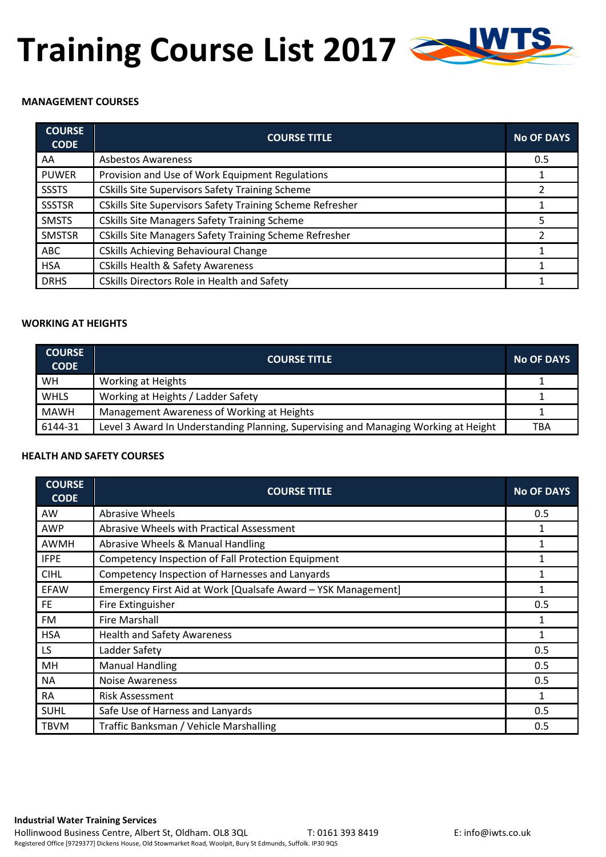## **Training Course List 2017**

## **MANAGEMENT COURSES**

| <b>COURSE</b><br><b>CODE</b> | <b>COURSE TITLE</b>                                           | <b>No OF DAYS</b> |
|------------------------------|---------------------------------------------------------------|-------------------|
| AA                           | <b>Asbestos Awareness</b>                                     | 0.5               |
| <b>PUWER</b>                 | Provision and Use of Work Equipment Regulations               |                   |
| <b>SSSTS</b>                 | <b>CSkills Site Supervisors Safety Training Scheme</b>        |                   |
| <b>SSSTSR</b>                | CSkills Site Supervisors Safety Training Scheme Refresher     |                   |
| <b>SMSTS</b>                 | <b>CSkills Site Managers Safety Training Scheme</b>           |                   |
| <b>SMSTSR</b>                | <b>CSkills Site Managers Safety Training Scheme Refresher</b> |                   |
| <b>ABC</b>                   | <b>CSkills Achieving Behavioural Change</b>                   |                   |
| <b>HSA</b>                   | <b>CSkills Health &amp; Safety Awareness</b>                  |                   |
| <b>DRHS</b>                  | <b>CSkills Directors Role in Health and Safety</b>            |                   |

#### **WORKING AT HEIGHTS**

| <b>COURSE</b><br><b>CODE</b> | <b>COURSE TITLE</b>                                                                 | <b>No OF DAYS</b> |
|------------------------------|-------------------------------------------------------------------------------------|-------------------|
| WH                           | Working at Heights                                                                  |                   |
| <b>WHLS</b>                  | Working at Heights / Ladder Safety                                                  |                   |
| <b>MAWH</b>                  | Management Awareness of Working at Heights                                          |                   |
| 6144-31                      | Level 3 Award In Understanding Planning, Supervising and Managing Working at Height | TBA               |

#### **HEALTH AND SAFETY COURSES**

| <b>COURSE</b><br><b>CODE</b> | <b>COURSE TITLE</b>                                           | <b>No OF DAYS</b> |
|------------------------------|---------------------------------------------------------------|-------------------|
| AW                           | <b>Abrasive Wheels</b>                                        | 0.5               |
| <b>AWP</b>                   | Abrasive Wheels with Practical Assessment                     |                   |
| <b>AWMH</b>                  | Abrasive Wheels & Manual Handling                             |                   |
| <b>IFPE</b>                  | Competency Inspection of Fall Protection Equipment            | 1                 |
| <b>CIHL</b>                  | Competency Inspection of Harnesses and Lanyards               | 1                 |
| <b>EFAW</b>                  | Emergency First Aid at Work [Qualsafe Award - YSK Management] | 1                 |
| FE.                          | Fire Extinguisher                                             | 0.5               |
| FM.                          | <b>Fire Marshall</b>                                          |                   |
| <b>HSA</b>                   | <b>Health and Safety Awareness</b>                            | $\mathbf{1}$      |
| LS.                          | Ladder Safety                                                 | 0.5               |
| MH                           | <b>Manual Handling</b>                                        | 0.5               |
| <b>NA</b>                    | Noise Awareness                                               | 0.5               |
| <b>RA</b>                    | <b>Risk Assessment</b>                                        | 1                 |
| <b>SUHL</b>                  | Safe Use of Harness and Lanyards                              | 0.5               |
| <b>TBVM</b>                  | Traffic Banksman / Vehicle Marshalling                        | 0.5               |